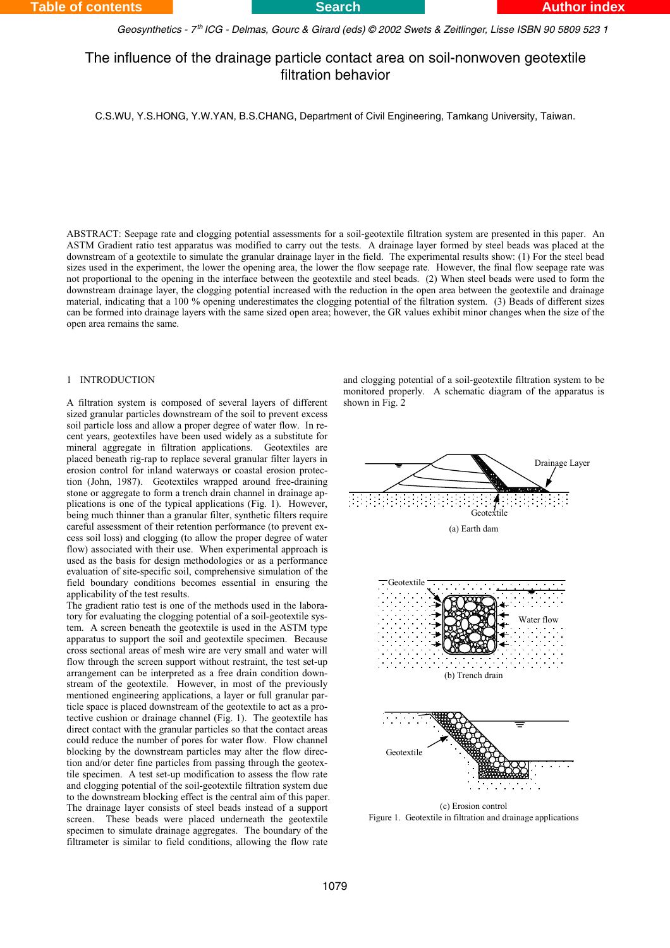*Geosynthetics - 7 ICG - Delmas, Gourc & Girard (eds) © 2002 Swets & Zeitlinger, Lisse ISBN 90 5809 523 1 th*

# The influence of the drainage particle contact area on soil-nonwoven geotextile filtration behavior

C.S.WU, Y.S.HONG, Y.W.YAN, B.S.CHANG, Department of Civil Engineering, Tamkang University, Taiwan.

ABSTRACT: Seepage rate and clogging potential assessments for a soil-geotextile filtration system are presented in this paper. An ASTM Gradient ratio test apparatus was modified to carry out the tests. A drainage layer formed by steel beads was placed at the downstream of a geotextile to simulate the granular drainage layer in the field. The experimental results show: (1) For the steel bead sizes used in the experiment, the lower the opening area, the lower the flow seepage rate. However, the final flow seepage rate was not proportional to the opening in the interface between the geotextile and steel beads. (2) When steel beads were used to form the downstream drainage layer, the clogging potential increased with the reduction in the open area between the geotextile and drainage material, indicating that a 100 % opening underestimates the clogging potential of the filtration system. (3) Beads of different sizes can be formed into drainage layers with the same sized open area; however, the GR values exhibit minor changes when the size of the open area remains the same.

## 1 INTRODUCTION

A filtration system is composed of several layers of different sized granular particles downstream of the soil to prevent excess soil particle loss and allow a proper degree of water flow. In recent years, geotextiles have been used widely as a substitute for mineral aggregate in filtration applications. Geotextiles are placed beneath rig-rap to replace several granular filter layers in erosion control for inland waterways or coastal erosion protection (John, 1987). Geotextiles wrapped around free-draining stone or aggregate to form a trench drain channel in drainage applications is one of the typical applications (Fig. 1). However, being much thinner than a granular filter, synthetic filters require careful assessment of their retention performance (to prevent excess soil loss) and clogging (to allow the proper degree of water flow) associated with their use. When experimental approach is used as the basis for design methodologies or as a performance evaluation of site-specific soil, comprehensive simulation of the field boundary conditions becomes essential in ensuring the applicability of the test results.

The gradient ratio test is one of the methods used in the laboratory for evaluating the clogging potential of a soil-geotextile system. A screen beneath the geotextile is used in the ASTM type apparatus to support the soil and geotextile specimen. Because cross sectional areas of mesh wire are very small and water will flow through the screen support without restraint, the test set-up arrangement can be interpreted as a free drain condition downstream of the geotextile. However, in most of the previously mentioned engineering applications, a layer or full granular particle space is placed downstream of the geotextile to act as a protective cushion or drainage channel (Fig. 1). The geotextile has direct contact with the granular particles so that the contact areas could reduce the number of pores for water flow. Flow channel blocking by the downstream particles may alter the flow direction and/or deter fine particles from passing through the geotextile specimen. A test set-up modification to assess the flow rate and clogging potential of the soil-geotextile filtration system due to the downstream blocking effect is the central aim of this paper. The drainage layer consists of steel beads instead of a support screen. These beads were placed underneath the geotextile specimen to simulate drainage aggregates. The boundary of the filtrameter is similar to field conditions, allowing the flow rate

and clogging potential of a soil-geotextile filtration system to be monitored properly. A schematic diagram of the apparatus is shown in Fig. 2



(c) Erosion control Figure 1. Geotextile in filtration and drainage applications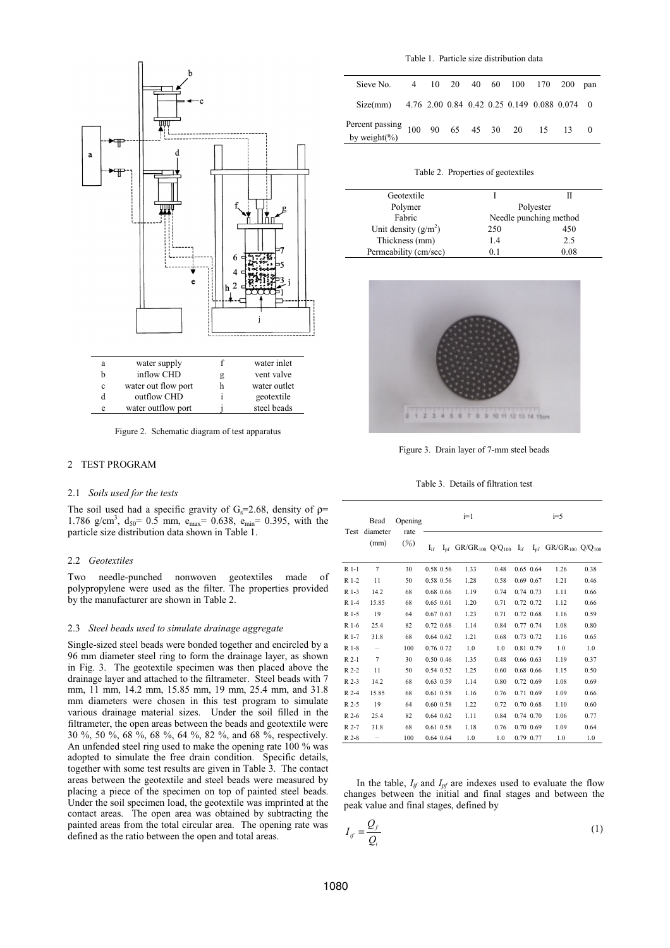

Figure 2. Schematic diagram of test apparatus

# 2 TEST PROGRAM

#### 2.1 *Soils used for the tests*

The soil used had a specific gravity of  $G_s = 2.68$ , density of  $\rho =$ 1.786 g/cm<sup>3</sup>,  $d_{50}$  = 0.5 mm,  $e_{max}$  = 0.638,  $e_{min}$  = 0.395, with the particle size distribution data shown in Table 1.

#### 2.2 *Geotextiles*

Two needle-punched nonwoven geotextiles made of polypropylene were used as the filter. The properties provided by the manufacturer are shown in Table 2.

#### 2.3 *Steel beads used to simulate drainage aggregate*

Single-sized steel beads were bonded together and encircled by a 96 mm diameter steel ring to form the drainage layer, as shown in Fig. 3. The geotextile specimen was then placed above the drainage layer and attached to the filtrameter. Steel beads with 7 mm, 11 mm, 14.2 mm, 15.85 mm, 19 mm, 25.4 mm, and 31.8 mm diameters were chosen in this test program to simulate various drainage material sizes. Under the soil filled in the filtrameter, the open areas between the beads and geotextile were 30 %, 50 %, 68 %, 68 %, 64 %, 82 %, and 68 %, respectively. An unfended steel ring used to make the opening rate 100 % was adopted to simulate the free drain condition. Specific details, together with some test results are given in Table 3. The contact areas between the geotextile and steel beads were measured by placing a piece of the specimen on top of painted steel beads. Under the soil specimen load, the geotextile was imprinted at the contact areas. The open area was obtained by subtracting the painted areas from the total circular area. The opening rate was defined as the ratio between the open and total areas.

| Table 1. Particle size distribution data |  |  |  |
|------------------------------------------|--|--|--|
|                                          |  |  |  |

| Sieve No. 4 10 20 40 60 100 170 200 pan                       |  |  |  |  |  |
|---------------------------------------------------------------|--|--|--|--|--|
| Size(mm) $4.76$ 2.00 0.84 0.42 0.25 0.149 0.088 0.074 0       |  |  |  |  |  |
| Percent passing<br>100 90 65 45 30 20 15 13 0<br>by weight(%) |  |  |  |  |  |

Table 2. Properties of geotextiles

| Geotextile             |                        |      |  |  |  |
|------------------------|------------------------|------|--|--|--|
| Polymer                | Polyester              |      |  |  |  |
| Fabric                 | Needle punching method |      |  |  |  |
| Unit density $(g/m^2)$ | 250                    | 450  |  |  |  |
| Thickness (mm)         | 1.4                    | 2.5  |  |  |  |
| Permeability (cm/sec)  | O 1                    | 0.08 |  |  |  |



Figure 3. Drain layer of 7-mm steel beads

Table 3. Details of filtration test

|        | Bead<br>diameter<br>(mm) | Opening<br>rate<br>(%) | $i=1$         |               |      |      |  | $i=5$       |                                                                                                            |      |  |
|--------|--------------------------|------------------------|---------------|---------------|------|------|--|-------------|------------------------------------------------------------------------------------------------------------|------|--|
| Test   |                          |                        | $I_{if}$      |               |      |      |  |             | $I_{pf}$ GR/GR <sub>100</sub> Q/Q <sub>100</sub> $I_{if}$ $I_{pf}$ GR/GR <sub>100</sub> Q/Q <sub>100</sub> |      |  |
| $R1-1$ | $\tau$                   | 30                     |               | 0.58 0.56     | 1.33 | 0.48 |  | $0.65$ 0.64 | 1.26                                                                                                       | 0.38 |  |
| R 1-2  | 11                       | 50                     |               | 0.58 0.56     | 1.28 | 0.58 |  | 0.69 0.67   | 1.21                                                                                                       | 0.46 |  |
| R 1-3  | 14.2                     | 68                     |               | 0.68 0.66     | 1.19 | 0.74 |  | 0.74 0.73   | 1.11                                                                                                       | 0.66 |  |
| R 1-4  | 15.85                    | 68                     | $0.65$ $0.61$ |               | 1.20 | 0.71 |  | 0.72 0.72   | 1.12                                                                                                       | 0.66 |  |
| R 1-5  | 19                       | 64                     |               | $0.67$ $0.63$ | 1.23 | 0.71 |  | 0.72 0.68   | 1.16                                                                                                       | 0.59 |  |
| R 1-6  | 25.4                     | 82                     |               | $0.72$ $0.68$ | 1.14 | 0.84 |  | 0.77 0.74   | 1.08                                                                                                       | 0.80 |  |
| R 1-7  | 31.8                     | 68                     |               | $0.64$ $0.62$ | 1.21 | 0.68 |  | 0.73 0.72   | 1.16                                                                                                       | 0.65 |  |
| $R1-8$ |                          | 100                    |               | 0.76 0.72     | 1.0  | 1.0  |  | 0.81 0.79   | 1.0                                                                                                        | 1.0  |  |
| $R2-1$ | $\overline{7}$           | 30                     |               | 0.50 0.46     | 1.35 | 0.48 |  | 0.66 0.63   | 1.19                                                                                                       | 0.37 |  |
| $R2-2$ | 11                       | 50                     |               | 0.54 0.52     | 1.25 | 0.60 |  | 0.68 0.66   | 1.15                                                                                                       | 0.50 |  |
| $R2-3$ | 14.2                     | 68                     |               | $0.63$ $0.59$ | 1.14 | 0.80 |  | 0.72 0.69   | 1.08                                                                                                       | 0.69 |  |
| R 2-4  | 15.85                    | 68                     |               | 0.61 0.58     | 1.16 | 0.76 |  | 0.71 0.69   | 1.09                                                                                                       | 0.66 |  |
| R 2-5  | 19                       | 64                     |               | $0.60$ $0.58$ | 1.22 | 0.72 |  | 0.70 0.68   | 1.10                                                                                                       | 0.60 |  |
| R 2-6  | 25.4                     | 82                     |               | $0.64$ $0.62$ | 1.11 | 0.84 |  | 0.74 0.70   | 1.06                                                                                                       | 0.77 |  |
| R 2-7  | 31.8                     | 68                     |               | $0.61$ $0.58$ | 1.18 | 0.76 |  | 0.70 0.69   | 1.09                                                                                                       | 0.64 |  |
| $R2-8$ |                          | 100                    |               | $0.64$ $0.64$ | 1.0  | 1.0  |  | 0.79 0.77   | 1.0                                                                                                        | 1.0  |  |

In the table,  $I_{if}$  and  $I_{nf}$  are indexes used to evaluate the flow changes between the initial and final stages and between the peak value and final stages, defined by

$$
I_{if} = \frac{Q_f}{Q_i} \tag{1}
$$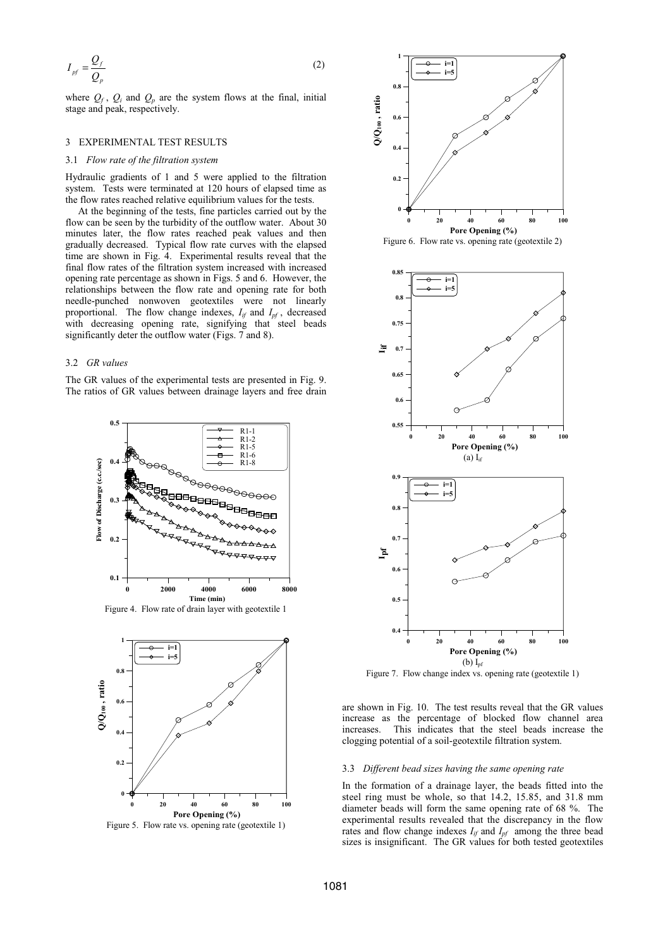$$
I_{pf} = \frac{Q_f}{Q_p} \tag{2}
$$

where  $Q_f$ ,  $Q_i$  and  $Q_p$  are the system flows at the final, initial stage and peak, respectively.

## 3 EXPERIMENTAL TEST RESULTS

#### 3.1 *Flow rate of the filtration system*

Hydraulic gradients of 1 and 5 were applied to the filtration system. Tests were terminated at 120 hours of elapsed time as the flow rates reached relative equilibrium values for the tests.

At the beginning of the tests, fine particles carried out by the flow can be seen by the turbidity of the outflow water. About 30 minutes later, the flow rates reached peak values and then gradually decreased. Typical flow rate curves with the elapsed time are shown in Fig. 4. Experimental results reveal that the final flow rates of the filtration system increased with increased opening rate percentage as shown in Figs. 5 and 6. However, the relationships between the flow rate and opening rate for both needle-punched nonwoven geotextiles were not linearly proportional. The flow change indexes,  $I_{if}$  and  $I_{pf}$ , decreased with decreasing opening rate, signifying that steel beads significantly deter the outflow water (Figs. 7 and 8).

#### 3.2 *GR values*

The GR values of the experimental tests are presented in Fig. 9. The ratios of GR values between drainage layers and free drain



Figure 4. Flow rate of drain layer with geotextile 1



Figure 5. Flow rate vs. opening rate (geotextile 1)







Figure 7. Flow change index vs. opening rate (geotextile 1)

are shown in Fig. 10. The test results reveal that the GR values increase as the percentage of blocked flow channel area increases. This indicates that the steel beads increase the clogging potential of a soil-geotextile filtration system.

## 3.3 *Different bead sizes having the same opening rate*

In the formation of a drainage layer, the beads fitted into the steel ring must be whole, so that 14.2, 15.85, and 31.8 mm diameter beads will form the same opening rate of 68 %. The experimental results revealed that the discrepancy in the flow rates and flow change indexes  $I_{if}$  and  $I_{pf}$  among the three bead sizes is insignificant. The GR values for both tested geotextiles